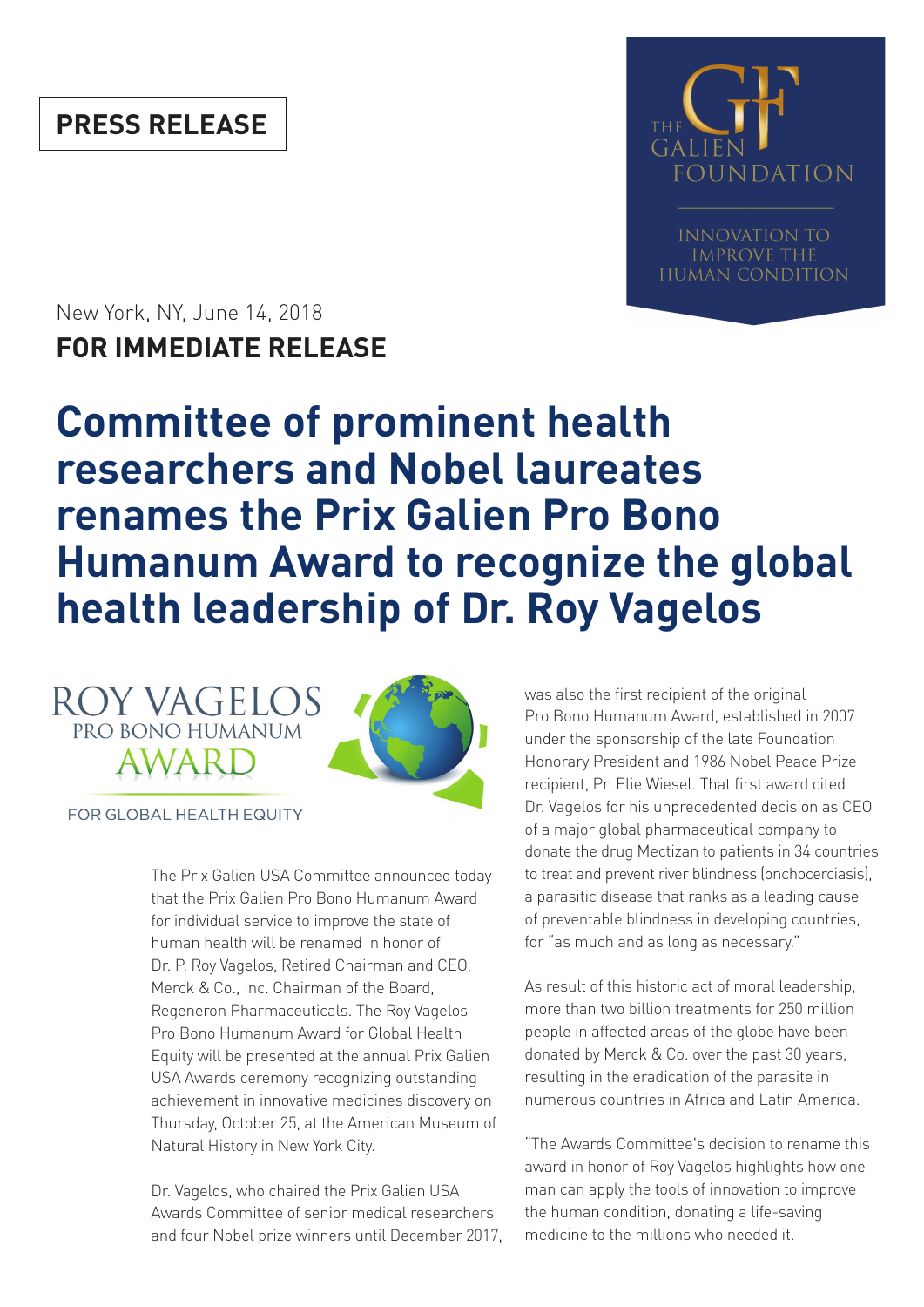# **PRESS RELEASE**



**INNOVATION TO IMPROVE THE HUMAN CONDITION** 

New York, NY, June 14, 2018 **FOR IMMEDIATE RELEASE**

# **Committee of prominent health researchers and Nobel laureates renames the Prix Galien Pro Bono Humanum Award to recognize the global health leadership of Dr. Roy Vagelos**





FOR GLOBAL HEALTH EQUITY

The Prix Galien USA Committee announced today that the Prix Galien Pro Bono Humanum Award for individual service to improve the state of human health will be renamed in honor of Dr. P. Roy Vagelos, Retired Chairman and CEO, Merck & Co., Inc. Chairman of the Board, Regeneron Pharmaceuticals. The Roy Vagelos Pro Bono Humanum Award for Global Health Equity will be presented at the annual Prix Galien USA Awards ceremony recognizing outstanding achievement in innovative medicines discovery on Thursday, October 25, at the American Museum of Natural History in New York City.

Dr. Vagelos, who chaired the Prix Galien USA Awards Committee of senior medical researchers and four Nobel prize winners until December 2017, was also the first recipient of the original Pro Bono Humanum Award, established in 2007 under the sponsorship of the late Foundation Honorary President and 1986 Nobel Peace Prize recipient, Pr. Elie Wiesel. That first award cited Dr. Vagelos for his unprecedented decision as CEO of a major global pharmaceutical company to donate the drug Mectizan to patients in 34 countries to treat and prevent river blindness (onchocerciasis), a parasitic disease that ranks as a leading cause of preventable blindness in developing countries, for "as much and as long as necessary."

As result of this historic act of moral leadership, more than two billion treatments for 250 million people in affected areas of the globe have been donated by Merck & Co. over the past 30 years, resulting in the eradication of the parasite in numerous countries in Africa and Latin America.

"The Awards Committee's decision to rename this award in honor of Roy Vagelos highlights how one man can apply the tools of innovation to improve the human condition, donating a life-saving medicine to the millions who needed it.